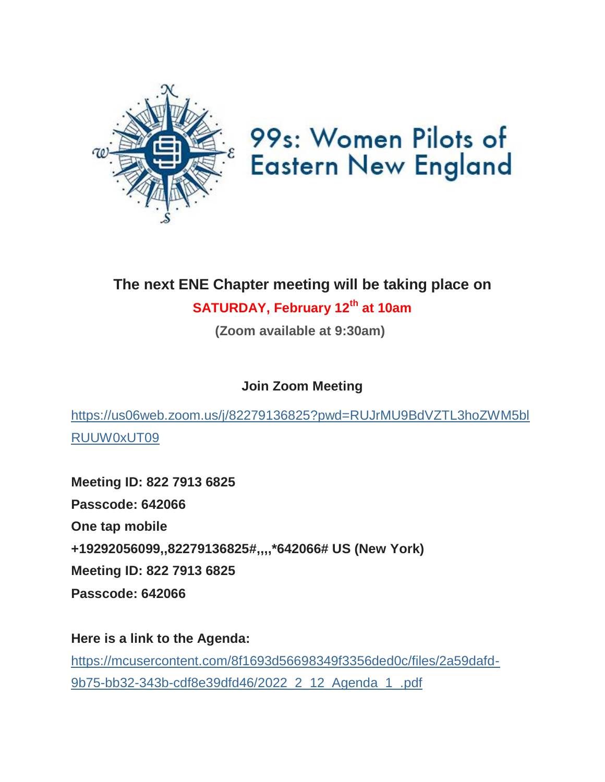

# 99s: Women Pilots of **Eastern New England**

## **The next ENE Chapter meeting will be taking place on**

### **SATURDAY, February 12th at 10am**

**(Zoom available at 9:30am)**

**Join Zoom Meeting**

[https://us06web.zoom.us/j/82279136825?pwd=RUJrMU9BdVZTL3hoZWM5bl](https://womenpilotsene.us6.list-manage.com/track/click?u=8f1693d56698349f3356ded0c&id=0a192c31c7&e=75347ca4ae) [RUUW0xUT09](https://womenpilotsene.us6.list-manage.com/track/click?u=8f1693d56698349f3356ded0c&id=0a192c31c7&e=75347ca4ae)

**Meeting ID: 822 7913 6825 Passcode: 642066 One tap mobile +19292056099,,82279136825#,,,,\*642066# US (New York) Meeting ID: 822 7913 6825 Passcode: 642066**

**Here is a link to the Agenda:** [https://mcusercontent.com/8f1693d56698349f3356ded0c/files/2a59dafd-](https://womenpilotsene.us6.list-manage.com/track/click?u=8f1693d56698349f3356ded0c&id=33400bf6ec&e=75347ca4ae)[9b75-bb32-343b-cdf8e39dfd46/2022\\_2\\_12\\_Agenda\\_1\\_.pdf](https://womenpilotsene.us6.list-manage.com/track/click?u=8f1693d56698349f3356ded0c&id=33400bf6ec&e=75347ca4ae)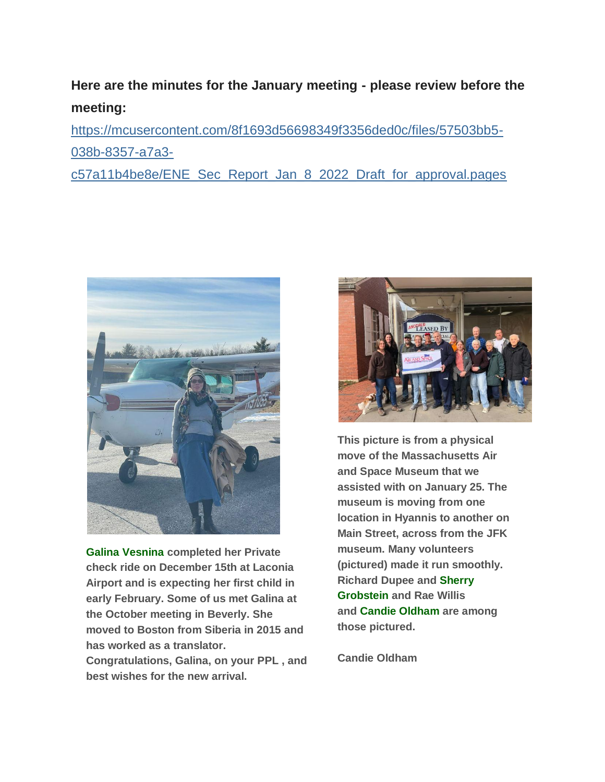#### **Here are the minutes for the January meeting - please review before the meeting:**

[https://mcusercontent.com/8f1693d56698349f3356ded0c/files/57503bb5-](https://womenpilotsene.us6.list-manage.com/track/click?u=8f1693d56698349f3356ded0c&id=b7d4d70d41&e=75347ca4ae) [038b-8357-a7a3-](https://womenpilotsene.us6.list-manage.com/track/click?u=8f1693d56698349f3356ded0c&id=b7d4d70d41&e=75347ca4ae)

[c57a11b4be8e/ENE\\_Sec\\_Report\\_Jan\\_8\\_2022\\_Draft\\_for\\_approval.pages](https://womenpilotsene.us6.list-manage.com/track/click?u=8f1693d56698349f3356ded0c&id=b7d4d70d41&e=75347ca4ae)



**Galina Vesnina completed her Private check ride on December 15th at Laconia Airport and is expecting her first child in early February. Some of us met Galina at the October meeting in Beverly. She moved to Boston from Siberia in 2015 and has worked as a translator.** 

**Congratulations, Galina, on your PPL , and best wishes for the new arrival.**



**This picture is from a physical move of the Massachusetts Air and Space Museum that we assisted with on January 25. The museum is moving from one location in Hyannis to another on Main Street, across from the JFK museum. Many volunteers (pictured) made it run smoothly. Richard Dupee and Sherry Grobstein and Rae Willis and Candie Oldham are among those pictured.**

**Candie Oldham**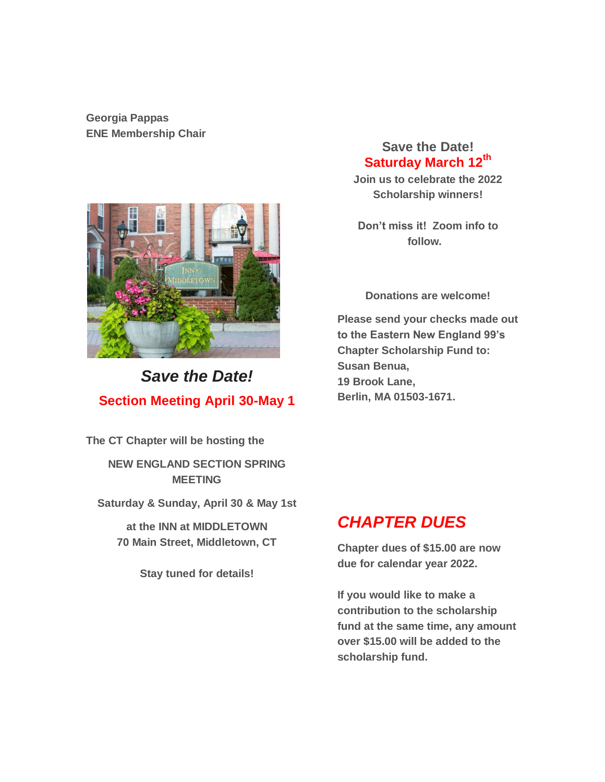**Georgia Pappas ENE Membership Chair**



### *Save the Date!* **Section Meeting April 30-May 1**

**The CT Chapter will be hosting the**

**NEW ENGLAND SECTION SPRING MEETING**

**Saturday & Sunday, April 30 & May 1st**

**at the INN at MIDDLETOWN 70 Main Street, Middletown, CT**

**Stay tuned for details!**

#### **Save the Date! Saturday March 12th**

**Join us to celebrate the 2022 Scholarship winners!**

**Don't miss it! Zoom info to follow.** 

**Donations are welcome!**

**Please send your checks made out to the Eastern New England 99's Chapter Scholarship Fund to: Susan Benua, 19 Brook Lane, Berlin, MA 01503-1671.**

#### *CHAPTER DUES*

**Chapter dues of \$15.00 are now due for calendar year 2022.**

**If you would like to make a contribution to the scholarship fund at the same time, any amount over \$15.00 will be added to the scholarship fund.**